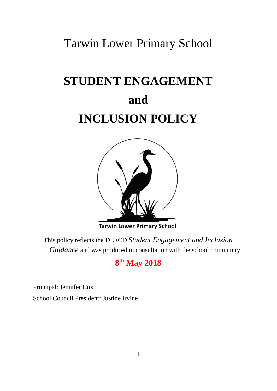## Tarwin Lower Primary School

# **STUDENT ENGAGEMENT and INCLUSION POLICY**



**Tarwin Lower Primary School** 

This policy reflects the DEECD *Student Engagement and Inclusion Guidance* and was produced in consultation with the school community

## **8 th May 2018**

Principal: Jennifer Cox

School Council President: Justine Irvine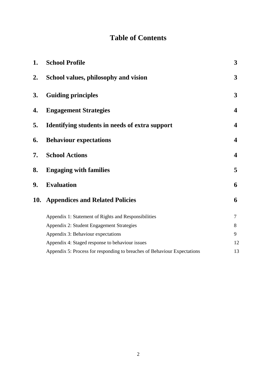## **Table of Contents**

| <b>School Profile</b>                                                    | 3                       |
|--------------------------------------------------------------------------|-------------------------|
| School values, philosophy and vision                                     | 3                       |
| <b>Guiding principles</b>                                                | 3                       |
| <b>Engagement Strategies</b>                                             | 4                       |
| Identifying students in needs of extra support                           | 4                       |
| <b>Behaviour expectations</b>                                            | $\boldsymbol{4}$        |
| <b>School Actions</b>                                                    | $\overline{\mathbf{4}}$ |
| <b>Engaging with families</b>                                            | 5                       |
| <b>Evaluation</b>                                                        | 6                       |
| <b>10.</b><br><b>Appendices and Related Policies</b>                     | 6                       |
| Appendix 1: Statement of Rights and Responsibilities                     | $\tau$                  |
| Appendix 2: Student Engagement Strategies                                | 8                       |
| Appendix 3: Behaviour expectations                                       | 9                       |
| Appendix 4: Staged response to behaviour issues                          | 12                      |
| Appendix 5: Process for responding to breaches of Behaviour Expectations | 13                      |
|                                                                          |                         |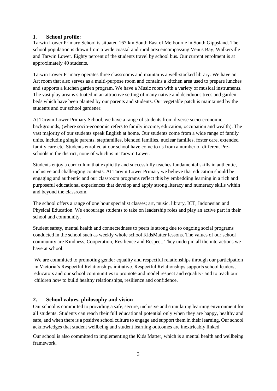## **1. School profile:**

Tarwin Lower Primary School is situated 167 km South East of Melbourne in South Gippsland. The school population is drawn from a wide coastal and rural area encompassing Venus Bay, Walkerville and Tarwin Lower. Eighty percent of the students travel by school bus. Our current enrolment is at approximately 40 students.

Tarwin Lower Primary operates three classrooms and maintains a well-stocked library. We have an Art room that also serves as a multi-purpose room and contains a kitchen area used to prepare lunches and supports a kitchen garden program. We have a Music room with a variety of musical instruments. The vast play area is situated in an attractive setting of many native and deciduous trees and garden beds which have been planted by our parents and students. Our vegetable patch is maintained by the students and our school gardener.

At Tarwin Lower Primary School, we have a range of students from diverse socio-economic backgrounds, (where socio-economic refers to family income, education, occupation and wealth). The vast majority of our students speak English at home. Our students come from a wide range of family units, including single parents, stepfamilies, blended families, nuclear families, foster care, extended family care etc. Students enrolled at our school have come to us from a number of different Preschools in the district, none of which is in Tarwin Lower.

Students enjoy a curriculum that explicitly and successfully teaches fundamental skills in authentic, inclusive and challenging contexts. At Tarwin Lower Primary we believe that education should be engaging and authentic and our classroom programs reflect this by embedding learning in a rich and purposeful educational experiences that develop and apply strong literacy and numeracy skills within and beyond the classroom.

The school offers a range of one hour specialist classes; art, music, library, ICT, Indonesian and Physical Education. We encourage students to take on leadership roles and play an active part in their school and community.

Student safety, mental health and connectedness to peers is strong due to ongoing social programs conducted in the school such as weekly whole school KidsMatter lessons. The values of our school community are Kindness, Cooperation, Resilience and Respect. They underpin all the interactions we have at school.

We are committed to promoting gender equality and respectful relationships through our participation in Victoria's Respectful Relationships initiative. Respectful Relationships supports school leaders, educators and our school communities to promote and model respect and equality- and to teach our children how to build healthy relationships, resilience and confidence.

#### **2. School values, philosophy and vision**

Our school is committed to providing a safe, secure, inclusive and stimulating learning environment for all students. Students can reach their full educational potential only when they are happy, healthy and safe, and when there is a positive school culture to engage and support them in their learning. Our school acknowledges that student wellbeing and student learning outcomes are inextricably linked.

Our school is also committed to implementing the Kids Matter, which is a mental health and wellbeing framework,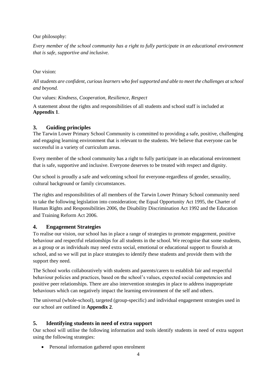Our philosophy:

*Every member of the school community has a right to fully participate in an educational environment that is safe, supportive and inclusive.*

Our vision:

*All students are confident, curious learners who feel supported and able to meet the challenges at school and beyond.* 

Our values: *Kindness, Cooperation, Resilience, Respect*

A statement about the rights and responsibilities of all students and school staff is included at **Appendix 1**.

## **3. Guiding principles**

The Tarwin Lower Primary School Community is committed to providing a safe, positive, challenging and engaging learning environment that is relevant to the students. We believe that everyone can be successful in a variety of curriculum areas.

Every member of the school community has a right to fully participate in an educational environment that is safe, supportive and inclusive. Everyone deserves to be treated with respect and dignity.

Our school is proudly a safe and welcoming school for everyone-regardless of gender, sexuality, cultural background or family circumstances.

The rights and responsibilities of all members of the Tarwin Lower Primary School community need to take the following legislation into consideration; the Equal Opportunity Act 1995, the Charter of Human Rights and Responsibilities 2006, the Disability Discrimination Act 1992 and the Education and Training Reform Act 2006.

## **4. Engagement Strategies**

To realise our vision, our school has in place a range of strategies to promote engagement, positive behaviour and respectful relationships for all students in the school. We recognise that some students, as a group or as individuals may need extra social, emotional or educational support to flourish at school, and so we will put in place strategies to identify these students and provide them with the support they need.

The School works collaboratively with students and parents/carers to establish fair and respectful behaviour policies and practices, based on the school's values, expected social competencies and positive peer relationships. There are also intervention strategies in place to address inappropriate behaviours which can negatively impact the learning environment of the self and others.

The universal (whole-school), targeted (group-specific) and individual engagement strategies used in our school are outlined in **Appendix 2**.

## **5. Identifying students in need of extra support**

Our school will utilise the following information and tools identify students in need of extra support using the following strategies:

Personal information gathered upon enrolment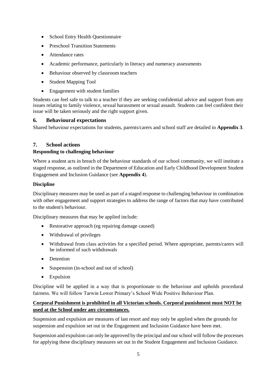- School Entry Health Questionnaire
- Preschool Transition Statements
- **Attendance rates**
- Academic performance, particularly in literacy and numeracy assessments
- Behaviour observed by classroom teachers
- Student Mapping Tool
- Engagement with student families

Students can feel safe to talk to a teacher if they are seeking confidential advice and support from any issues relating to family violence, sexual harassment or sexual assault. Students can feel confident their issue will be taken seriously and the right support given.

## **6. Behavioural expectations**

Shared behaviour expectations for students, parents/carers and school staff are detailed in **Appendix 3**.

## **7. School actions**

#### **Responding to challenging behaviour**

Where a student acts in breach of the behaviour standards of our school community, we will institute a staged response, as outlined in the Department of Education and Early Childhood Development Student Engagement and Inclusion Guidance (see **Appendix 4**).

## **Discipline**

Disciplinary measures may be used as part of a staged response to challenging behaviour in combination with other engagement and support strategies to address the range of factors that may have contributed to the student's behaviour.

Disciplinary measures that may be applied include:

- Restorative approach (eg repairing damage caused)
- Withdrawal of privileges
- Withdrawal from class activities for a specified period. Where appropriate, parents/carers will be informed of such withdrawals
- Detention
- Suspension (in-school and out of school)
- Expulsion

Discipline will be applied in a way that is proportionate to the behaviour and upholds procedural fairness. We will follow Tarwin Lower Primary's School Wide Positive Behaviour Plan.

## **Corporal Punishment is prohibited in all Victorian schools. Corporal punishment must NOT be used at the School under any circumstances.**

Suspension and expulsion are measures of last resort and may only be applied when the grounds for suspension and expulsion set out in the Engagement and Inclusion Guidance have been met.

Suspension and expulsion can only be approved by the principal and our school will follow the processes for applying these disciplinary measures set out in the Student Engagement and Inclusion Guidance.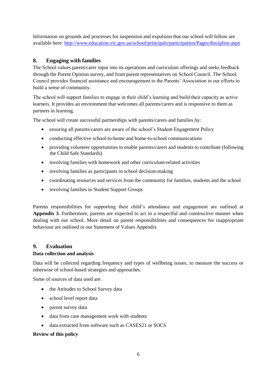Information on grounds and processes for suspension and expulsion that our school will follow are available here: <http://www.education.vic.gov.au/school/principals/participation/Pages/discipline.aspx>

## **8. Engaging with families**

The School values parent/carer input into its operations and curriculum offerings and seeks feedback through the Parent Opinion survey, and from parent representatives on School Council. The School Council provides financial assistance and encouragement to the Parents' Association in our efforts to build a sense of community.

The school will support families to engage in their child's learning and build their capacity as active learners. It provides an environment that welcomes all parents/carers and is responsive to them as partners in learning.

The school will create successful partnerships with parents/carers and families by:

- ensuring all parents/carers are aware of the school's Student Engagement Policy
- conducting effective school-to-home and home-to-school communications
- providing volunteer opportunities to enable parents/carers and students to contribute (following the Child Safe Standards)
- involving families with homework and other curriculum-related activities
- involving families as participants in school decision-making
- coordinating resources and services from the community for families, students and the school
- involving families in Student Support Groups

Parents responsibilities for supporting their child's attendance and engagement are outlined at **Appendix 3**. Furthermore, parents are expected to act in a respectful and constructive manner when dealing with our school. More detail on parent responsibilities and consequences for inappropriate behaviour are outlined in our Statement of Values Appendix

## **9. Evaluation**

#### **Data collection and analysis**

Data will be collected regarding frequency and types of wellbeing issues, to measure the success or otherwise of school-based strategies and approaches.

Some of sources of data used are:

- the Attitudes to School Survey data
- school level report data
- parent survey data
- data from case management work with students
- data extracted from software such as CASES21 or SOCS

#### **Review of this policy**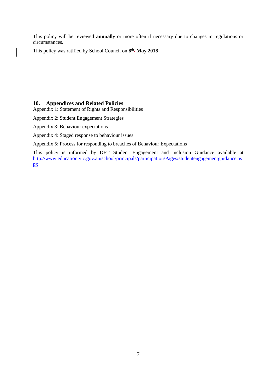This policy will be reviewed **annually** or more often if necessary due to changes in regulations or circumstances.

This policy was ratified by School Council on 8<sup>th</sup> May 2018

## **10. Appendices and Related Policies**

Appendix 1: Statement of Rights and Responsibilities

Appendix 2: Student Engagement Strategies

Appendix 3: Behaviour expectations

Appendix 4: Staged response to behaviour issues

Appendix 5: Process for responding to breaches of Behaviour Expectations

This policy is informed by DET Student Engagement and inclusion Guidance available at [http://www.education.vic.gov.au/school/principals/participation/Pages/studentengagementguidance.as](http://www.education.vic.gov.au/school/principals/participation/Pages/studentengagementguidance.aspx) [px](http://www.education.vic.gov.au/school/principals/participation/Pages/studentengagementguidance.aspx)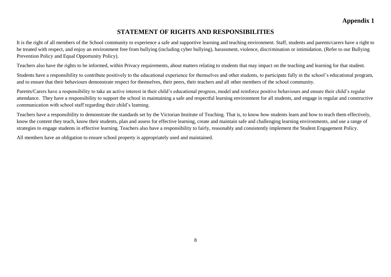## **STATEMENT OF RIGHTS AND RESPONSIBILITIES**

It is the right of all members of the School community to experience a safe and supportive learning and teaching environment. Staff, students and parents/carers have a right to be treated with respect, and enjoy an environment free from bullying (including cyber bullying), harassment, violence, discrimination or intimidation. (Refer to our Bullying Prevention Policy and Equal Opportunity Policy).

Teachers also have the rights to be informed, within Privacy requirements, about matters relating to students that may impact on the teaching and learning for that student.

Students have a responsibility to contribute positively to the educational experience for themselves and other students, to participate fully in the school's educational program, and to ensure that their behaviours demonstrate respect for themselves, their peers, their teachers and all other members of the school community.

Parents/Carers have a responsibility to take an active interest in their child's educational progress, model and reinforce positive behaviours and ensure their child's regular attendance. They have a responsibility to support the school in maintaining a safe and respectful learning environment for all students, and engage in regular and constructive communication with school staff regarding their child's learning.

Teachers have a responsibility to demonstrate the standards set by the Victorian Institute of Teaching. That is, to know how students learn and how to teach them effectively, know the content they teach, know their students, plan and assess for effective learning, create and maintain safe and challenging learning environments, and use a range of strategies to engage students in effective learning. Teachers also have a responsibility to fairly, reasonably and consistently implement the Student Engagement Policy.

All members have an obligation to ensure school property is appropriately used and maintained.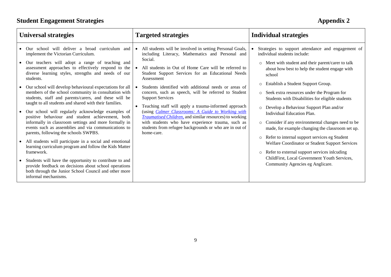## **Student Engagement Strategies Appendix 2**

| <b>Universal strategies</b>                                                                                                                                                                                                                                                                                                                                                                                                                                                                                                                                                                                                                                                                                                                                                                                                                                                                                                                                                                                                                                                                                          | <b>Targeted strategies</b>                                                                                                                                                                                                                                                                                                                                                                                                                                                                                                                                                                                                                                                                                         | <b>Individual strategies</b>                                                                                                                                                                                                                                                                                                                                                                                                                                                                                                                                                                                                                                                                                                                                                                                                            |
|----------------------------------------------------------------------------------------------------------------------------------------------------------------------------------------------------------------------------------------------------------------------------------------------------------------------------------------------------------------------------------------------------------------------------------------------------------------------------------------------------------------------------------------------------------------------------------------------------------------------------------------------------------------------------------------------------------------------------------------------------------------------------------------------------------------------------------------------------------------------------------------------------------------------------------------------------------------------------------------------------------------------------------------------------------------------------------------------------------------------|--------------------------------------------------------------------------------------------------------------------------------------------------------------------------------------------------------------------------------------------------------------------------------------------------------------------------------------------------------------------------------------------------------------------------------------------------------------------------------------------------------------------------------------------------------------------------------------------------------------------------------------------------------------------------------------------------------------------|-----------------------------------------------------------------------------------------------------------------------------------------------------------------------------------------------------------------------------------------------------------------------------------------------------------------------------------------------------------------------------------------------------------------------------------------------------------------------------------------------------------------------------------------------------------------------------------------------------------------------------------------------------------------------------------------------------------------------------------------------------------------------------------------------------------------------------------------|
| Our school will deliver a broad curriculum and<br>implement the Victorian Curriculum.<br>Our teachers will adopt a range of teaching and<br>assessment approaches to effectively respond to the<br>diverse learning styles, strengths and needs of our<br>students.<br>Our school will develop behavioural expectations for all<br>members of the school community in consultation with<br>students, staff and parents/carers, and these will be<br>taught to all students and shared with their families.<br>Our school will regularly acknowledge examples of<br>positive behaviour and student achievement, both<br>informally in classroom settings and more formally in<br>events such as assemblies and via communications to<br>parents, following the schools SWPBS.<br>All students will participate in a social and emotional<br>learning curriculum program and follow the Kids Matter<br>framework.<br>Students will have the opportunity to contribute to and<br>provide feedback on decisions about school operations<br>both through the Junior School Council and other more<br>informal mechanisms. | All students will be involved in setting Personal Goals,<br>including Literacy, Mathematics and Personal and<br>Social.<br>All students in Out of Home Care will be referred to<br>Student Support Services for an Educational Needs<br>Assessment<br>Students identified with additional needs or areas of<br>concern, such as speech, will be referred to Student<br><b>Support Services</b><br>Teaching staff will apply a trauma-informed approach<br>(using <i>Calmer Classrooms: A Guide to Working with</i><br><b>Traumatised Children</b> , and similar resources) to working<br>with students who have experience trauma, such as<br>students from refugee backgrounds or who are in out of<br>home-care. | Strategies to support attendance and engagement of<br>individual students include:<br>Meet with student and their parent/carer to talk<br>$\circ$<br>about how best to help the student engage with<br>school<br>Establish a Student Support Group.<br>$\circ$<br>o Seek extra resources under the Program for<br>Students with Disabilities for eligible students<br>Develop a Behaviour Support Plan and/or<br>$\circ$<br>Individual Education Plan.<br>Consider if any environmental changes need to be<br>$\circ$<br>made, for example changing the classroom set up.<br>Refer to internal support services eg Student<br>$\circ$<br>Welfare Coordinator or Student Support Services<br>Refer to external support services inlcuding<br>$\circ$<br>ChildFirst, Local Government Youth Services,<br>Community Agencies eg Anglicare. |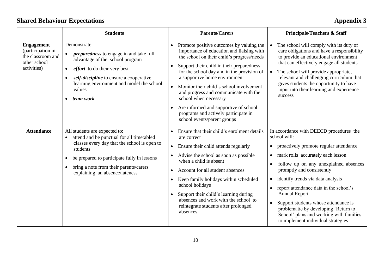## **Shared Behaviour Expectations Appendix 3**

|                                                                                            | <b>Students</b>                                                                                                                                                                                                                                                                                          | <b>Parents/Carers</b>                                                                                                                                                                                                                                                                                                                                                                                                                                                                                                   | <b>Principals/Teachers &amp; Staff</b>                                                                                                                                                                                                                                                                                                                                                                                                                                                                                                                     |
|--------------------------------------------------------------------------------------------|----------------------------------------------------------------------------------------------------------------------------------------------------------------------------------------------------------------------------------------------------------------------------------------------------------|-------------------------------------------------------------------------------------------------------------------------------------------------------------------------------------------------------------------------------------------------------------------------------------------------------------------------------------------------------------------------------------------------------------------------------------------------------------------------------------------------------------------------|------------------------------------------------------------------------------------------------------------------------------------------------------------------------------------------------------------------------------------------------------------------------------------------------------------------------------------------------------------------------------------------------------------------------------------------------------------------------------------------------------------------------------------------------------------|
| <b>Engagement</b><br>(participation in<br>the classroom and<br>other school<br>activities) | Demonstrate:<br><i>preparedness</i> to engage in and take full<br>advantage of the school program<br><i>effort</i> to do their very best<br>$\bullet$<br>self-discipline to ensure a cooperative<br>$\bullet$<br>learning environment and model the school<br>values<br>team work<br>$\bullet$           | Promote positive outcomes by valuing the<br>$\bullet$<br>importance of education and liaising with<br>the school on their child's progress/needs<br>Support their child in their preparedness<br>for the school day and in the provision of<br>a supportive home environment<br>Monitor their child's school involvement<br>and progress and communicate with the<br>school when necessary<br>Are informed and supportive of school<br>$\bullet$<br>programs and actively participate in<br>school events/parent groups | The school will comply with its duty of<br>$\bullet$<br>care obligations and have a responsibility<br>to provide an educational environment<br>that can effectively engage all students<br>The school will provide appropriate,<br>$\bullet$<br>relevant and challenging curriculum that<br>gives students the opportunity to have<br>input into their learning and experience<br>success                                                                                                                                                                  |
| <b>Attendance</b>                                                                          | All students are expected to:<br>attend and be punctual for all timetabled<br>$\bullet$<br>classes every day that the school is open to<br>students<br>be prepared to participate fully in lessons<br>$\bullet$<br>bring a note from their parents/carers<br>$\bullet$<br>explaining an absence/lateness | Ensure that their child's enrolment details<br>are correct<br>Ensure their child attends regularly<br>$\bullet$<br>Advise the school as soon as possible<br>$\bullet$<br>when a child is absent<br>Account for all student absences<br>Keep family holidays within scheduled<br>school holidays<br>Support their child's learning during<br>$\bullet$<br>absences and work with the school to<br>reintegrate students after prolonged<br>absences                                                                       | In accordance with DEECD procedures the<br>school will:<br>proactively promote regular attendance<br>٠<br>mark rolls accurately each lesson<br>$\bullet$<br>follow up on any unexplained absences<br>$\bullet$<br>promptly and consistently<br>identify trends via data analysis<br>$\bullet$<br>report attendance data in the school's<br>$\bullet$<br><b>Annual Report</b><br>Support students whose attendance is<br>$\bullet$<br>problematic by developing 'Return to<br>School' plans and working with families<br>to implement individual strategies |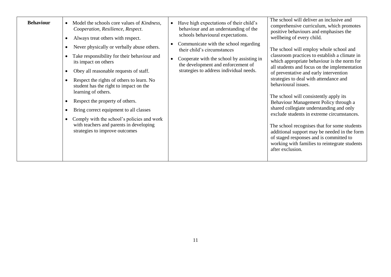| <b>Behaviour</b> | Model the schools core values of <i>Kindness</i> ,<br>Cooperation, Resilience, Respect.<br>Always treat others with respect.<br>٠<br>Never physically or verbally abuse others.<br>$\bullet$<br>Take responsibility for their behaviour and<br>its impact on others<br>Obey all reasonable requests of staff.<br>٠<br>Respect the rights of others to learn. No<br>$\bullet$<br>student has the right to impact on the<br>learning of others.<br>Respect the property of others.<br>Bring correct equipment to all classes<br>Comply with the school's policies and work<br>with teachers and parents in developing<br>strategies to improve outcomes | Have high expectations of their child's<br>$\bullet$<br>behaviour and an understanding of the<br>schools behavioural expectations.<br>Communicate with the school regarding<br>$\bullet$<br>their child's circumstances<br>Cooperate with the school by assisting in<br>$\bullet$<br>the development and enforcement of<br>strategies to address individual needs. | The school will deliver an inclusive and<br>comprehensive curriculum, which promotes<br>positive behaviours and emphasises the<br>wellbeing of every child.<br>The school will employ whole school and<br>classroom practices to establish a climate in<br>which appropriate behaviour is the norm for<br>all students and focus on the implementation<br>of preventative and early intervention<br>strategies to deal with attendance and<br>behavioural issues.<br>The school will consistently apply its<br>Behaviour Management Policy through a<br>shared collegiate understanding and only<br>exclude students in extreme circumstances.<br>The school recognises that for some students<br>additional support may be needed in the form<br>of staged responses and is committed to<br>working with families to reintegrate students<br>after exclusion. |
|------------------|-------------------------------------------------------------------------------------------------------------------------------------------------------------------------------------------------------------------------------------------------------------------------------------------------------------------------------------------------------------------------------------------------------------------------------------------------------------------------------------------------------------------------------------------------------------------------------------------------------------------------------------------------------|--------------------------------------------------------------------------------------------------------------------------------------------------------------------------------------------------------------------------------------------------------------------------------------------------------------------------------------------------------------------|----------------------------------------------------------------------------------------------------------------------------------------------------------------------------------------------------------------------------------------------------------------------------------------------------------------------------------------------------------------------------------------------------------------------------------------------------------------------------------------------------------------------------------------------------------------------------------------------------------------------------------------------------------------------------------------------------------------------------------------------------------------------------------------------------------------------------------------------------------------|
|------------------|-------------------------------------------------------------------------------------------------------------------------------------------------------------------------------------------------------------------------------------------------------------------------------------------------------------------------------------------------------------------------------------------------------------------------------------------------------------------------------------------------------------------------------------------------------------------------------------------------------------------------------------------------------|--------------------------------------------------------------------------------------------------------------------------------------------------------------------------------------------------------------------------------------------------------------------------------------------------------------------------------------------------------------------|----------------------------------------------------------------------------------------------------------------------------------------------------------------------------------------------------------------------------------------------------------------------------------------------------------------------------------------------------------------------------------------------------------------------------------------------------------------------------------------------------------------------------------------------------------------------------------------------------------------------------------------------------------------------------------------------------------------------------------------------------------------------------------------------------------------------------------------------------------------|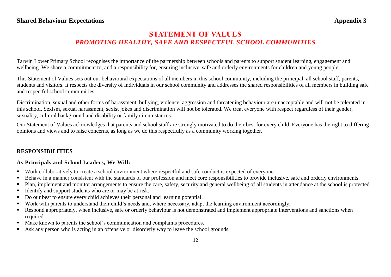## **Shared Behaviour Expectations** Appendix 3

## **STATEMENT OF VALUES** *PROMOTING HEALTHY, SAFE AND RESPECTFUL SCHOOL COMMUNITIES*

Tarwin Lower Primary School recognises the importance of the partnership between schools and parents to support student learning, engagement and wellbeing. We share a commitment to, and a responsibility for, ensuring inclusive, safe and orderly environments for children and young people.

This Statement of Values sets out our behavioural expectations of all members in this school community, including the principal, all school staff, parents, students and visitors. It respects the diversity of individuals in our school community and addresses the shared responsibilities of all members in building safe and respectful school communities.

Discrimination, sexual and other forms of harassment, bullying, violence, aggression and threatening behaviour are unacceptable and will not be tolerated in this school. Sexism, sexual harassment, sexist jokes and discrimination will not be tolerated. We treat everyone with respect regardless of their gender, sexuality, cultural background and disability or family circumstances.

Our Statement of Values acknowledges that parents and school staff are strongly motivated to do their best for every child. Everyone has the right to differing opinions and views and to raise concerns, as long as we do this respectfully as a community working together.

## **RESPONSIBILITIES**

## **As Principals and School Leaders, We Will:**

- Work collaboratively to create a school environment where respectful and safe conduct is expected of everyone.
- Behave in a manner consistent with the standards of our profession and meet core responsibilities to provide inclusive, safe and orderly environments.
- Plan, implement and monitor arrangements to ensure the care, safety, security and general wellbeing of all students in attendance at the school is protected.
- Identify and support students who are or may be at risk.
- Do our best to ensure every child achieves their personal and learning potential.
- Work with parents to understand their child's needs and, where necessary, adapt the learning environment accordingly.
- Respond appropriately, when inclusive, safe or orderly behaviour is not demonstrated and implement appropriate interventions and sanctions when required.
- Make known to parents the school's communication and complaints procedures.
- Ask any person who is acting in an offensive or disorderly way to leave the school grounds.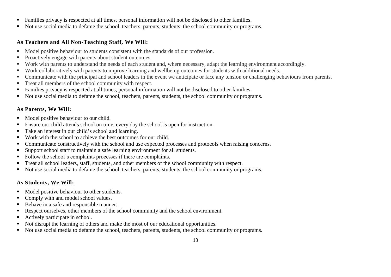- Families privacy is respected at all times, personal information will not be disclosed to other families.
- Not use social media to defame the school, teachers, parents, students, the school community or programs.

## **As Teachers and All Non-Teaching Staff, We Will:**

- Model positive behaviour to students consistent with the standards of our profession.
- **Proactively engage with parents about student outcomes.**
- Work with parents to understand the needs of each student and, where necessary, adapt the learning environment accordingly.
- Work collaboratively with parents to improve learning and wellbeing outcomes for students with additional needs.
- Communicate with the principal and school leaders in the event we anticipate or face any tension or challenging behaviours from parents.
- Treat all members of the school community with respect.
- Families privacy is respected at all times, personal information will not be disclosed to other families.
- Not use social media to defame the school, teachers, parents, students, the school community or programs.

## **As Parents, We Will:**

- Model positive behaviour to our child.
- Ensure our child attends school on time, every day the school is open for instruction.
- Take an interest in our child's school and learning.
- Work with the school to achieve the best outcomes for our child.
- Communicate constructively with the school and use expected processes and protocols when raising concerns.
- Support school staff to maintain a safe learning environment for all students.
- Follow the school's complaints processes if there are complaints.
- Treat all school leaders, staff, students, and other members of the school community with respect.
- Not use social media to defame the school, teachers, parents, students, the school community or programs.

## **As Students, We Will:**

- Model positive behaviour to other students.
- Comply with and model school values.
- Behave in a safe and responsible manner.
- Respect ourselves, other members of the school community and the school environment.
- Actively participate in school.
- Not disrupt the learning of others and make the most of our educational opportunities.
- Not use social media to defame the school, teachers, parents, students, the school community or programs.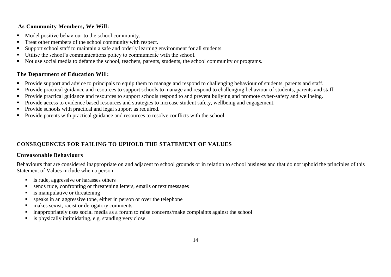## **As Community Members, We Will:**

- Model positive behaviour to the school community.
- Treat other members of the school community with respect.
- Support school staff to maintain a safe and orderly learning environment for all students.
- Utilise the school's communications policy to communicate with the school.
- Not use social media to defame the school, teachers, parents, students, the school community or programs.

## **The Department of Education Will:**

- **Provide support and advice to principals to equip them to manage and respond to challenging behaviour of students, parents and staff.**
- **Provide practical guidance and resources to support schools to manage and respond to challenging behaviour of students, parents and staff.**
- **Provide practical guidance and resources to support schools respond to and prevent bullying and promote cyber-safety and wellbeing.**
- **Provide access to evidence based resources and strategies to increase student safety, wellbeing and engagement.**
- Provide schools with practical and legal support as required.
- **Provide parents with practical guidance and resources to resolve conflicts with the school.**

## **CONSEQUENCES FOR FAILING TO UPHOLD THE STATEMENT OF VALUES**

## **Unreasonable Behaviours**

Behaviours that are considered inappropriate on and adjacent to school grounds or in relation to school business and that do not uphold the principles of this Statement of Values include when a person:

- **is rude, aggressive or harasses others**
- sends rude, confronting or threatening letters, emails or text messages
- is manipulative or threatening
- speaks in an aggressive tone, either in person or over the telephone
- makes sexist, racist or derogatory comments
- inappropriately uses social media as a forum to raise concerns/make complaints against the school
- is physically intimidating, e.g. standing very close.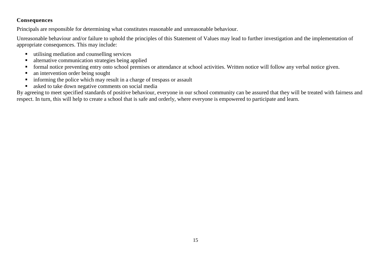## **Consequences**

Principals are responsible for determining what constitutes reasonable and unreasonable behaviour.

Unreasonable behaviour and/or failure to uphold the principles of this Statement of Values may lead to further investigation and the implementation of appropriate consequences. This may include:

- utilising mediation and counselling services
- alternative communication strategies being applied
- formal notice preventing entry onto school premises or attendance at school activities. Written notice will follow any verbal notice given.
- an intervention order being sought
- informing the police which may result in a charge of trespass or assault
- asked to take down negative comments on social media

By agreeing to meet specified standards of positive behaviour, everyone in our school community can be assured that they will be treated with fairness and respect. In turn, this will help to create a school that is safe and orderly, where everyone is empowered to participate and learn.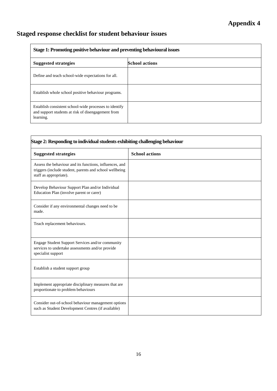## **Staged response checklist for student behaviour issues**

| Stage 1: Promoting positive behaviour and preventing behavioural issues                                                   |                       |  |
|---------------------------------------------------------------------------------------------------------------------------|-----------------------|--|
| <b>Suggested strategies</b>                                                                                               | <b>School actions</b> |  |
| Define and teach school-wide expectations for all.                                                                        |                       |  |
| Establish whole school positive behaviour programs.                                                                       |                       |  |
| Establish consistent school-wide processes to identify<br>and support students at risk of disengagement from<br>learning. |                       |  |

| Stage 2: Responding to individual students exhibiting challenging behaviour                                                                  |                       |  |
|----------------------------------------------------------------------------------------------------------------------------------------------|-----------------------|--|
| <b>Suggested strategies</b>                                                                                                                  | <b>School actions</b> |  |
| Assess the behaviour and its functions, influences, and<br>triggers (include student, parents and school wellbeing<br>staff as appropriate). |                       |  |
| Develop Behaviour Support Plan and/or Individual<br>Education Plan (involve parent or carer)                                                 |                       |  |
| Consider if any environmental changes need to be<br>made.                                                                                    |                       |  |
| Teach replacement behaviours.                                                                                                                |                       |  |
| Engage Student Support Services and/or community<br>services to undertake assessments and/or provide<br>specialist support                   |                       |  |
| Establish a student support group                                                                                                            |                       |  |
| Implement appropriate disciplinary measures that are<br>proportionate to problem behaviours                                                  |                       |  |
| Consider out-of-school behaviour management options<br>such as Student Development Centres (if available)                                    |                       |  |